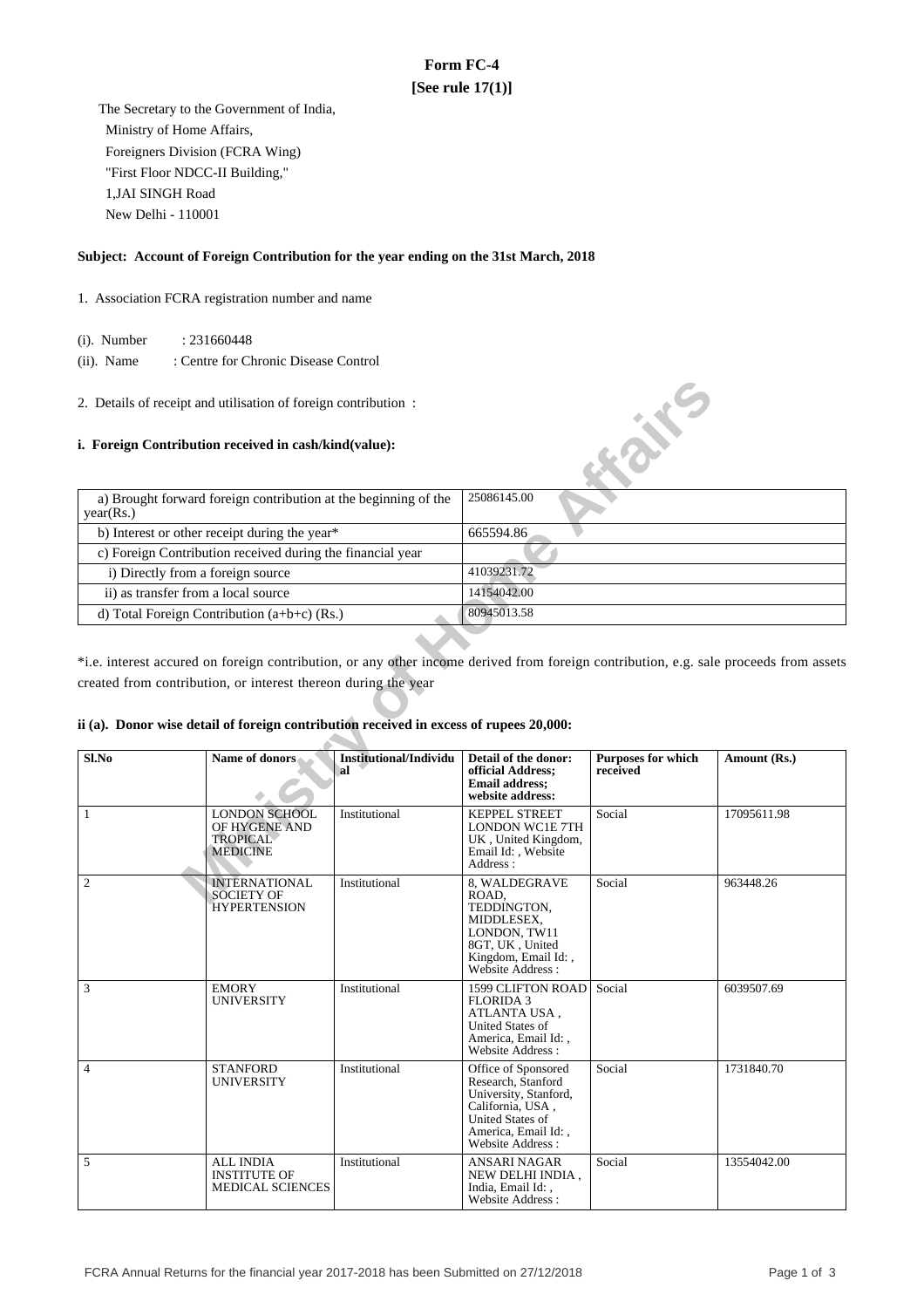# **Form FC-4 [See rule 17(1)]**

 The Secretary to the Government of India, Ministry of Home Affairs, Foreigners Division (FCRA Wing) "First Floor NDCC-II Building," 1,JAI SINGH Road New Delhi - 110001

## **Subject: Account of Foreign Contribution for the year ending on the 31st March, 2018**

1. Association FCRA registration number and name

(i). Number : 231660448

 (ii). Name : Centre for Chronic Disease Control

#### **i. Foreign Contribution received in cash/kind(value):**

| a) Brought forward foreign contribution at the beginning of the<br>year(Rs.) | 25086145.00 |
|------------------------------------------------------------------------------|-------------|
| b) Interest or other receipt during the year*                                | 665594.86   |
| c) Foreign Contribution received during the financial year                   |             |
| i) Directly from a foreign source                                            | 41039231.72 |
| ii) as transfer from a local source                                          | 14154042.00 |
| d) Total Foreign Contribution $(a+b+c)$ (Rs.)                                | 80945013.58 |

# **ii (a). Donor wise detail of foreign contribution received in excess of rupees 20,000:**

|                                     | 2. Details of receipt and utilisation of foreign contribution :                                                                                          |                                     |                                                                                                                                                               | <b>Kaike</b>                          |                                                                                                                                       |  |
|-------------------------------------|----------------------------------------------------------------------------------------------------------------------------------------------------------|-------------------------------------|---------------------------------------------------------------------------------------------------------------------------------------------------------------|---------------------------------------|---------------------------------------------------------------------------------------------------------------------------------------|--|
|                                     | i. Foreign Contribution received in cash/kind(value):                                                                                                    |                                     |                                                                                                                                                               |                                       |                                                                                                                                       |  |
| year(Rs.)                           | a) Brought forward foreign contribution at the beginning of the                                                                                          |                                     | 25086145.00                                                                                                                                                   |                                       |                                                                                                                                       |  |
|                                     | b) Interest or other receipt during the year*                                                                                                            |                                     | 665594.86                                                                                                                                                     |                                       |                                                                                                                                       |  |
|                                     | c) Foreign Contribution received during the financial year                                                                                               |                                     |                                                                                                                                                               |                                       |                                                                                                                                       |  |
| i) Directly from a foreign source   |                                                                                                                                                          |                                     | 41039231.72                                                                                                                                                   |                                       |                                                                                                                                       |  |
| ii) as transfer from a local source |                                                                                                                                                          |                                     | 14154042.00                                                                                                                                                   |                                       |                                                                                                                                       |  |
|                                     | d) Total Foreign Contribution $(a+b+c)$ (Rs.)                                                                                                            |                                     | 80945013.58                                                                                                                                                   |                                       |                                                                                                                                       |  |
|                                     | created from contribution, or interest thereon during the year<br>ii (a). Donor wise detail of foreign contribution received in excess of rupees 20,000: |                                     |                                                                                                                                                               |                                       | *i.e. interest accured on foreign contribution, or any other income derived from foreign contribution, e.g. sale proceeds from assets |  |
| Sl.No                               | Name of donors                                                                                                                                           | <b>Institutional/Individu</b><br>al | Detail of the donor:<br>official Address;<br><b>Email address;</b><br>website address:                                                                        | <b>Purposes for which</b><br>received | Amount (Rs.)                                                                                                                          |  |
| $\mathbf{1}$                        | <b>LONDON SCHOOL</b><br>OF HYGENE AND<br><b>TROPICAL</b><br><b>MEDICINE</b>                                                                              | Institutional                       | <b>KEPPEL STREET</b><br><b>LONDON WC1E 7TH</b><br>UK, United Kingdom,<br>Email Id:, Website<br>Address:                                                       | Social                                | 17095611.98                                                                                                                           |  |
| $\overline{2}$                      | <b>INTERNATIONAL</b><br><b>SOCIETY OF</b><br><b>HYPERTENSION</b>                                                                                         | Institutional                       | 8. WALDEGRAVE<br>ROAD,<br>TEDDINGTON,<br>MIDDLESEX,<br>LONDON, TW11<br>8GT, UK, United<br>Kingdom, Email Id:,<br>Website Address:                             | Social                                | 963448.26                                                                                                                             |  |
| $\mathfrak{Z}$                      | <b>EMORY</b><br>UNIVERSITY                                                                                                                               | Institutional                       | 1599 CLIFTON ROAD<br><b>FLORIDA 3</b><br>ATLANTA USA,<br>United States of<br>America, Email Id:,<br>Website Address:                                          | Social                                | 6039507.69                                                                                                                            |  |
| $\overline{4}$                      | <b>STANFORD</b><br>UNIVERSITY                                                                                                                            | Institutional                       | Office of Sponsored<br>Research, Stanford<br>University, Stanford,<br>California, USA,<br><b>United States of</b><br>America, Email Id: .<br>Website Address: | Social                                | 1731840.70                                                                                                                            |  |
| 5                                   | <b>ALL INDIA</b><br><b>INSTITUTE OF</b><br><b>MEDICAL SCIENCES</b>                                                                                       | Institutional                       | <b>ANSARI NAGAR</b><br>NEW DELHI INDIA.<br>India, Email Id: .<br>Website Address:                                                                             | Social                                | 13554042.00                                                                                                                           |  |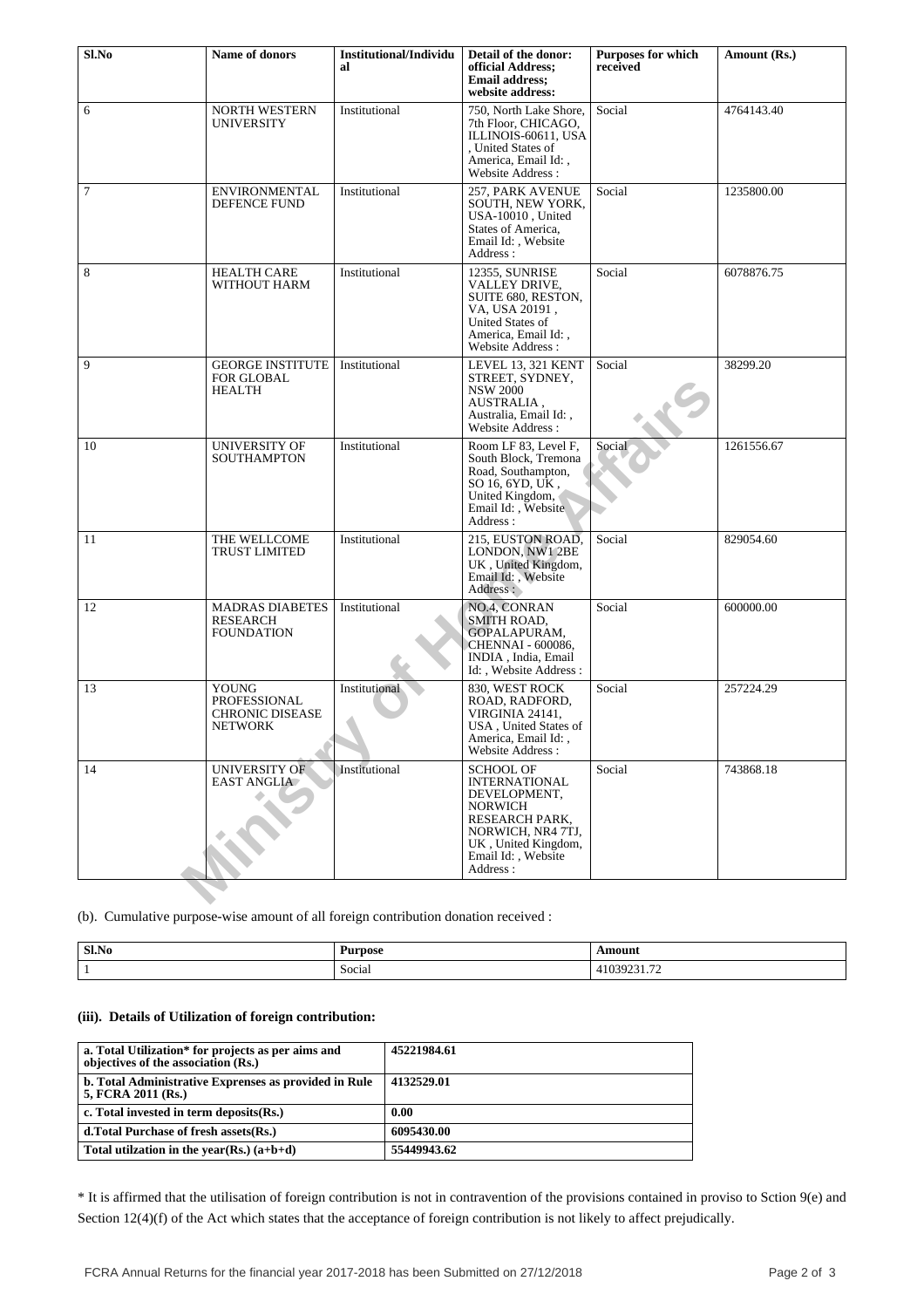| Sl.No                                                                               | Name of donors                                                           | <b>Institutional/Individu</b><br>al | Detail of the donor:<br>official Address;<br><b>Email address:</b><br>website address:                                                                                             | <b>Purposes for which</b><br>received | Amount (Rs.) |
|-------------------------------------------------------------------------------------|--------------------------------------------------------------------------|-------------------------------------|------------------------------------------------------------------------------------------------------------------------------------------------------------------------------------|---------------------------------------|--------------|
| 6                                                                                   | <b>NORTH WESTERN</b><br><b>UNIVERSITY</b>                                | Institutional                       | 750, North Lake Shore,<br>7th Floor, CHICAGO,<br>ILLINOIS-60611, USA<br>, United States of<br>America, Email Id:,<br>Website Address:                                              | Social                                | 4764143.40   |
| 7                                                                                   | <b>ENVIRONMENTAL</b><br><b>DEFENCE FUND</b>                              | Institutional                       | 257, PARK AVENUE<br>SOUTH, NEW YORK,<br>USA-10010 . United<br>States of America,<br>Email Id:, Website<br>Address:                                                                 | Social                                | 1235800.00   |
| 8                                                                                   | <b>HEALTH CARE</b><br>WITHOUT HARM                                       | Institutional                       | 12355, SUNRISE<br>VALLEY DRIVE,<br>SUITE 680, RESTON,<br>VA, USA 20191,<br>United States of<br>America, Email Id:,<br>Website Address:                                             | Social                                | 6078876.75   |
| 9                                                                                   | <b>GEORGE INSTITUTE</b><br><b>FOR GLOBAL</b><br><b>HEALTH</b>            | Institutional                       | LEVEL 13, 321 KENT<br>STREET, SYDNEY,<br><b>NSW 2000</b><br>AUSTRALIA,<br>Australia, Email Id:,<br>Website Address:                                                                | Social                                | 38299.20     |
| 10                                                                                  | <b>UNIVERSITY OF</b><br><b>SOUTHAMPTON</b>                               | Institutional                       | Room LF 83, Level F,<br>South Block, Tremona<br>Road, Southampton,<br>SO 16, 6YD, UK.<br>United Kingdom,<br>Email Id: , Website<br>Address:                                        | Social                                | 1261556.67   |
| 11                                                                                  | THE WELLCOME<br><b>TRUST LIMITED</b>                                     | Institutional                       | 215, EUSTON ROAD,<br>LONDON, NW1 2BE<br>UK, United Kingdom,<br>Email Id: , Website<br>Address:                                                                                     | Social                                | 829054.60    |
| 12                                                                                  | <b>MADRAS DIABETES</b><br>RESEARCH<br><b>FOUNDATION</b>                  | Institutional                       | NO.4, CONRAN<br><b>SMITH ROAD,</b><br>GOPALAPURAM,<br>CHENNAI - 600086,<br>INDIA, India, Email<br>Id: , Website Address:                                                           | Social                                | 600000.00    |
| 13                                                                                  | YOUNG<br><b>PROFESSIONAL</b><br><b>CHRONIC DISEASE</b><br><b>NETWORK</b> | Institutional                       | 830, WEST ROCK<br>ROAD, RADFORD,<br>VIRGINIA 24141,<br>USA, United States of<br>America, Email Id:<br>Website Address:                                                             | Social                                | 257224.29    |
| 14                                                                                  | UNIVERSITY OF<br><b>EAST ANGLIA</b>                                      | Institutional                       | <b>SCHOOL OF</b><br><b>INTERNATIONAL</b><br>DEVELOPMENT,<br><b>NORWICH</b><br><b>RESEARCH PARK,</b><br>NORWICH, NR4 7TJ,<br>UK, United Kingdom,<br>Email Id: , Website<br>Address: | Social                                | 743868.18    |
| (b). Cumulative purpose-wise amount of all foreign contribution donation received : |                                                                          |                                     |                                                                                                                                                                                    |                                       |              |

| Sl.No | Purpose | \mount                        |
|-------|---------|-------------------------------|
|       | Social  | $\sim$<br>41 I<br>-1039231.72 |

## **(iii). Details of Utilization of foreign contribution:**

| a. Total Utilization* for projects as per aims and<br>objectives of the association (Rs.) | 45221984.61 |
|-------------------------------------------------------------------------------------------|-------------|
| b. Total Administrative Exprenses as provided in Rule<br>5, FCRA 2011 (Rs.)               | 4132529.01  |
| c. Total invested in term deposits(Rs.)                                                   | 0.00        |
| d. Total Purchase of fresh assets (Rs.)                                                   | 6095430.00  |
| Total utilization in the year(Rs.) $(a+b+d)$                                              | 55449943.62 |

\* It is affirmed that the utilisation of foreign contribution is not in contravention of the provisions contained in proviso to Sction 9(e) and Section 12(4)(f) of the Act which states that the acceptance of foreign contribution is not likely to affect prejudically.